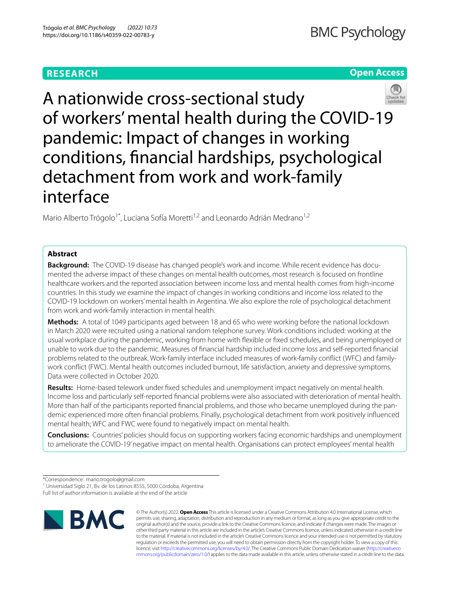# **RESEARCH**

# **Open Access**



A nationwide cross-sectional study of workers' mental health during the COVID-19 pandemic: Impact of changes in working conditions, fnancial hardships, psychological detachment from work and work-family interface

Mario Alberto Trógolo<sup>1\*</sup>, Luciana Sofía Moretti<sup>1,2</sup> and Leonardo Adrián Medrano<sup>1,2</sup>

# **Abstract**

**Background:** The COVID-19 disease has changed people's work and income. While recent evidence has documented the adverse impact of these changes on mental health outcomes, most research is focused on frontline healthcare workers and the reported association between income loss and mental health comes from high-income countries. In this study we examine the impact of changes in working conditions and income loss related to the COVID-19 lockdown on workers' mental health in Argentina. We also explore the role of psychological detachment from work and work-family interaction in mental health.

**Methods:** A total of 1049 participants aged between 18 and 65 who were working before the national lockdown in March 2020 were recruited using a national random telephone survey. Work conditions included: working at the usual workplace during the pandemic, working from home with fexible or fxed schedules, and being unemployed or unable to work due to the pandemic. Measures of fnancial hardship included income loss and self-reported fnancial problems related to the outbreak. Work-family interface included measures of work-family confict (WFC) and familywork confict (FWC). Mental health outcomes included burnout, life satisfaction, anxiety and depressive symptoms. Data were collected in October 2020.

**Results:** Home-based telework under fxed schedules and unemployment impact negatively on mental health. Income loss and particularly self-reported fnancial problems were also associated with deterioration of mental health. More than half of the participants reported fnancial problems, and those who became unemployed during the pandemic experienced more often fnancial problems. Finally, psychological detachment from work positively infuenced mental health; WFC and FWC were found to negatively impact on mental health.

**Conclusions:** Countries' policies should focus on supporting workers facing economic hardships and unemployment to ameliorate the COVID-19' negative impact on mental health. Organisations can protect employees' mental health

Full list of author information is available at the end of the article



© The Author(s) 2022. **Open Access** This article is licensed under a Creative Commons Attribution 4.0 International License, which permits use, sharing, adaptation, distribution and reproduction in any medium or format, as long as you give appropriate credit to the original author(s) and the source, provide a link to the Creative Commons licence, and indicate if changes were made. The images or other third party material in this article are included in the article's Creative Commons licence, unless indicated otherwise in a credit line to the material. If material is not included in the article's Creative Commons licence and your intended use is not permitted by statutory regulation or exceeds the permitted use, you will need to obtain permission directly from the copyright holder. To view a copy of this licence, visit [http://creativecommons.org/licenses/by/4.0/.](http://creativecommons.org/licenses/by/4.0/) The Creative Commons Public Domain Dedication waiver ([http://creativeco](http://creativecommons.org/publicdomain/zero/1.0/) [mmons.org/publicdomain/zero/1.0/](http://creativecommons.org/publicdomain/zero/1.0/)) applies to the data made available in this article, unless otherwise stated in a credit line to the data.

<sup>\*</sup>Correspondence: mario.trogolo@gmail.com

<sup>&</sup>lt;sup>1</sup> Universidad Siglo 21, Bv. de los Latinos 8555, 5000 Córdoba, Argentina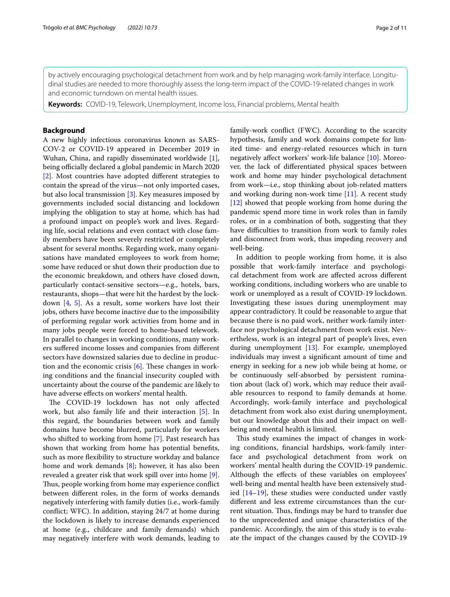by actively encouraging psychological detachment from work and by help managing work-family interface. Longitudinal studies are needed to more thoroughly assess the long-term impact of the COVID-19-related changes in work and economic turndown on mental health issues.

**Keywords:** COVID-19, Telework, Unemployment, Income loss, Financial problems, Mental health

## **Background**

A new highly infectious coronavirus known as SARS-COV-2 or COVID-19 appeared in December 2019 in Wuhan, China, and rapidly disseminated worldwide [\[1](#page-8-0)], being officially declared a global pandemic in March 2020 [[2\]](#page-8-1). Most countries have adopted diferent strategies to contain the spread of the virus—not only imported cases, but also local transmission [\[3](#page-8-2)]. Key measures imposed by governments included social distancing and lockdown implying the obligation to stay at home, which has had a profound impact on people's work and lives. Regarding life, social relations and even contact with close family members have been severely restricted or completely absent for several months. Regarding work, many organisations have mandated employees to work from home; some have reduced or shut down their production due to the economic breakdown, and others have closed down, particularly contact-sensitive sectors—e.g., hotels, bars, restaurants, shops—that were hit the hardest by the lockdown [\[4,](#page-8-3) [5](#page-8-4)]. As a result, some workers have lost their jobs, others have become inactive due to the impossibility of performing regular work activities from home and in many jobs people were forced to home-based telework. In parallel to changes in working conditions, many workers sufered income losses and companies from diferent sectors have downsized salaries due to decline in production and the economic crisis  $[6]$  $[6]$ . These changes in working conditions and the fnancial insecurity coupled with uncertainty about the course of the pandemic are likely to have adverse efects on workers' mental health.

The COVID-19 lockdown has not only affected work, but also family life and their interaction [[5\]](#page-8-4). In this regard, the boundaries between work and family domains have become blurred, particularly for workers who shifted to working from home [[7\]](#page-8-6). Past research has shown that working from home has potential benefts, such as more fexibility to structure workday and balance home and work demands [\[8](#page-8-7)]; however, it has also been revealed a greater risk that work spill over into home [\[9](#page-8-8)]. Thus, people working from home may experience conflict between diferent roles, in the form of works demands negatively interfering with family duties (i.e., work-family confict; WFC). In addition, staying 24/7 at home during the lockdown is likely to increase demands experienced at home (e.g., childcare and family demands) which may negatively interfere with work demands, leading to family-work confict (FWC). According to the scarcity hypothesis, family and work domains compete for limited time- and energy-related resources which in turn negatively afect workers' work-life balance [[10\]](#page-8-9). Moreover, the lack of diferentiated physical spaces between work and home may hinder psychological detachment from work—i.e., stop thinking about job-related matters and working during non-work time [[11\]](#page-8-10). A recent study [[12\]](#page-8-11) showed that people working from home during the pandemic spend more time in work roles than in family roles, or in a combination of both, suggesting that they have difficulties to transition from work to family roles and disconnect from work, thus impeding recovery and well-being.

In addition to people working from home, it is also possible that work-family interface and psychological detachment from work are afected across diferent working conditions, including workers who are unable to work or unemployed as a result of COVID-19 lockdown. Investigating these issues during unemployment may appear contradictory. It could be reasonable to argue that because there is no paid work, neither work-family interface nor psychological detachment from work exist. Nevertheless, work is an integral part of people's lives, even during unemployment [\[13](#page-8-12)]. For example, unemployed individuals may invest a signifcant amount of time and energy in seeking for a new job while being at home, or be continuously self-absorbed by persistent rumination about (lack of) work, which may reduce their available resources to respond to family demands at home. Accordingly, work-family interface and psychological detachment from work also exist during unemployment, but our knowledge about this and their impact on wellbeing and mental health is limited.

This study examines the impact of changes in working conditions, fnancial hardships, work-family interface and psychological detachment from work on workers' mental health during the COVID-19 pandemic. Although the efects of these variables on employees' well-being and mental health have been extensively studied  $[14-19]$  $[14-19]$ , these studies were conducted under vastly diferent and less extreme circumstances than the current situation. Thus, findings may be hard to transfer due to the unprecedented and unique characteristics of the pandemic. Accordingly, the aim of this study is to evaluate the impact of the changes caused by the COVID-19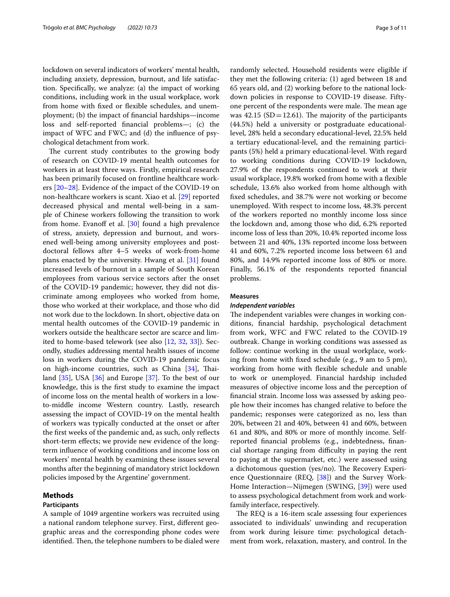lockdown on several indicators of workers' mental health, including anxiety, depression, burnout, and life satisfaction. Specifcally, we analyze: (a) the impact of working conditions, including work in the usual workplace, work from home with fxed or fexible schedules, and unemployment; (b) the impact of fnancial hardships—income loss and self-reported fnancial problems—; (c) the impact of WFC and FWC; and (d) the infuence of psychological detachment from work.

The current study contributes to the growing body of research on COVID-19 mental health outcomes for workers in at least three ways. Firstly, empirical research has been primarily focused on frontline healthcare workers [[20](#page-8-15)[–28](#page-9-0)]. Evidence of the impact of the COVID-19 on non-healthcare workers is scant. Xiao et al. [\[29](#page-9-1)] reported decreased physical and mental well-being in a sample of Chinese workers following the transition to work from home. Evanoff et al.  $[30]$  $[30]$  found a high prevalence of stress, anxiety, depression and burnout, and worsened well-being among university employees and postdoctoral fellows after 4–5 weeks of work-from-home plans enacted by the university. Hwang et al. [\[31](#page-9-3)] found increased levels of burnout in a sample of South Korean employees from various service sectors after the onset of the COVID-19 pandemic; however, they did not discriminate among employees who worked from home, those who worked at their workplace, and those who did not work due to the lockdown. In short, objective data on mental health outcomes of the COVID-19 pandemic in workers outside the healthcare sector are scarce and limited to home-based telework (see also [[12,](#page-8-11) [32,](#page-9-4) [33](#page-9-5)]). Secondly, studies addressing mental health issues of income loss in workers during the COVID-19 pandemic focus on high-income countries, such as China [\[34](#page-9-6)], Thailand [[35\]](#page-9-7), USA [\[36](#page-9-8)] and Europe [[37\]](#page-9-9). To the best of our knowledge, this is the frst study to examine the impact of income loss on the mental health of workers in a lowto-middle income Western country. Lastly, research assessing the impact of COVID-19 on the mental health of workers was typically conducted at the onset or after the frst weeks of the pandemic and, as such, only refects short-term efects; we provide new evidence of the longterm infuence of working conditions and income loss on workers' mental health by examining these issues several months after the beginning of mandatory strict lockdown policies imposed by the Argentine' government.

## **Methods**

#### **Participants**

A sample of 1049 argentine workers was recruited using a national random telephone survey. First, diferent geographic areas and the corresponding phone codes were identified. Then, the telephone numbers to be dialed were randomly selected. Household residents were eligible if they met the following criteria: (1) aged between 18 and 65 years old, and (2) working before to the national lockdown policies in response to COVID-19 disease. Fiftyone percent of the respondents were male. The mean age was  $42.15$  (SD=12.61). The majority of the participants (44.5%) held a university or postgraduate educationallevel, 28% held a secondary educational-level, 22.5% held a tertiary educational-level, and the remaining participants (5%) held a primary educational-level. With regard to working conditions during COVID-19 lockdown, 27.9% of the respondents continued to work at their usual workplace, 19.8% worked from home with a fexible schedule, 13.6% also worked from home although with fxed schedules, and 38.7% were not working or become unemployed. With respect to income loss, 48.3% percent of the workers reported no monthly income loss since the lockdown and, among those who did, 6.2% reported income loss of less than 20%, 10.4% reported income loss between 21 and 40%, 13% reported income loss between 41 and 60%, 7.2% reported income loss between 61 and 80%, and 14.9% reported income loss of 80% or more. Finally, 56.1% of the respondents reported fnancial problems.

## **Measures**

## *Independent variables*

The independent variables were changes in working conditions, fnancial hardship, psychological detachment from work, WFC and FWC related to the COVID‐19 outbreak. Change in working conditions was assessed as follow: continue working in the usual workplace, working from home with fxed schedule (e.g., 9 am to 5 pm), working from home with fexible schedule and unable to work or unemployed. Financial hardship included measures of objective income loss and the perception of fnancial strain. Income loss was assessed by asking people how their incomes has changed relative to before the pandemic; responses were categorized as no, less than 20%, between 21 and 40%, between 41 and 60%, between 61 and 80%, and 80% or more of monthly income. Selfreported fnancial problems (e.g., indebtedness, fnancial shortage ranging from difficulty in paying the rent to paying at the supermarket, etc.) were assessed using a dichotomous question (yes/no). The Recovery Experience Questionnaire (REQ, [[38\]](#page-9-10)) and the Survey Work-Home Interaction—Nijmegen (SWING, [[39\]](#page-9-11)) were used to assess psychological detachment from work and workfamily interface, respectively.

The REQ is a 16-item scale assessing four experiences associated to individuals' unwinding and recuperation from work during leisure time: psychological detachment from work, relaxation, mastery, and control. In the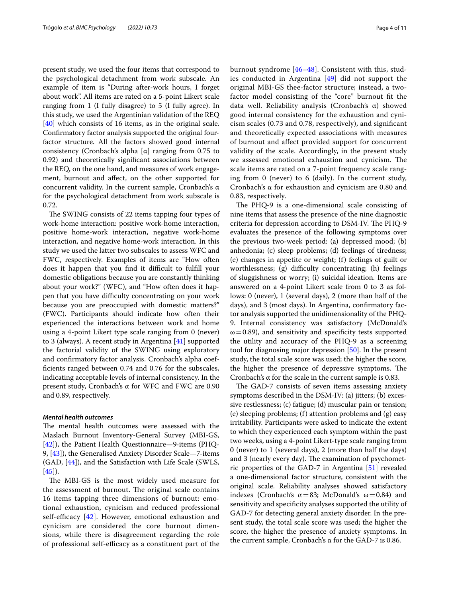present study, we used the four items that correspond to the psychological detachment from work subscale. An example of item is "During after-work hours, I forget about work". All items are rated on a 5-point Likert scale ranging from 1 (I fully disagree) to 5 (I fully agree). In this study, we used the Argentinian validation of the REQ [[40\]](#page-9-12) which consists of 16 items, as in the original scale. Confrmatory factor analysis supported the original fourfactor structure. All the factors showed good internal consistency (Cronbach's alpha  $[\alpha]$  ranging from 0.75 to 0.92) and theoretically signifcant associations between the REQ, on the one hand, and measures of work engagement, burnout and afect, on the other supported for concurrent validity. In the current sample, Cronbach's α for the psychological detachment from work subscale is 0.72.

The SWING consists of 22 items tapping four types of work-home interaction: positive work-home interaction, positive home-work interaction, negative work-home interaction, and negative home-work interaction. In this study we used the latter two subscales to assess WFC and FWC, respectively. Examples of items are "How often does it happen that you find it difficult to fulfill your domestic obligations because you are constantly thinking about your work?" (WFC), and "How often does it happen that you have difficulty concentrating on your work because you are preoccupied with domestic matters?" (FWC). Participants should indicate how often their experienced the interactions between work and home using a 4-point Likert type scale ranging from 0 (never) to 3 (always). A recent study in Argentina [\[41\]](#page-9-13) supported the factorial validity of the SWING using exploratory and confrmatory factor analysis. Cronbach's alpha coeffcients ranged between 0.74 and 0.76 for the subscales, indicating acceptable levels of internal consistency. In the present study, Cronbach's α for WFC and FWC are 0.90 and 0.89, respectively.

## *Mental health outcomes*

The mental health outcomes were assessed with the Maslach Burnout Inventory-General Survey (MBI-GS, [[42\]](#page-9-14)), the Patient Health Questionnaire—9‐items (PHQ-9, [\[43](#page-9-15)]), the Generalised Anxiety Disorder Scale—7‐items (GAD, [\[44](#page-9-16)]), and the Satisfaction with Life Scale (SWLS,  $[45]$  $[45]$ .

The MBI-GS is the most widely used measure for the assessment of burnout. The original scale contains 16 items tapping three dimensions of burnout: emotional exhaustion, cynicism and reduced professional self-efficacy  $[42]$  $[42]$  $[42]$ . However, emotional exhaustion and cynicism are considered the core burnout dimensions, while there is disagreement regarding the role of professional self-efficacy as a constituent part of the burnout syndrome [\[46–](#page-9-18)[48\]](#page-9-19). Consistent with this, studies conducted in Argentina [[49\]](#page-9-20) did not support the original MBI-GS thee-factor structure; instead, a twofactor model consisting of the "core" burnout ft the data well. Reliability analysis (Cronbach's α) showed good internal consistency for the exhaustion and cynicism scales (0.73 and 0.78, respectively), and signifcant and theoretically expected associations with measures of burnout and afect provided support for concurrent validity of the scale. Accordingly, in the present study we assessed emotional exhaustion and cynicism. The scale items are rated on a 7-point frequency scale ranging from 0 (never) to 6 (daily). In the current study, Cronbach's α for exhaustion and cynicism are 0.80 and 0.83, respectively.

The PHQ-9 is a one-dimensional scale consisting of nine items that assess the presence of the nine diagnostic criteria for depression according to DSM-IV. The PHQ-9 evaluates the presence of the following symptoms over the previous two-week period: (a) depressed mood; (b) anhedonia; (c) sleep problems; (d) feelings of tiredness; (e) changes in appetite or weight; (f) feelings of guilt or worthlessness; (g) difficulty concentrating; (h) feelings of sluggishness or worry; (i) suicidal ideation. Items are answered on a 4-point Likert scale from 0 to 3 as follows: 0 (never), 1 (several days), 2 (more than half of the days), and 3 (most days). In Argentina, confrmatory factor analysis supported the unidimensionality of the PHQ-9. Internal consistency was satisfactory (McDonald's  $\omega$  = 0.89), and sensitivity and specificity tests supported the utility and accuracy of the PHQ-9 as a screening tool for diagnosing major depression [[50](#page-9-21)]. In the present study, the total scale score was used; the higher the score, the higher the presence of depressive symptoms. The Cronbach's α for the scale in the current sample is 0.83.

The GAD-7 consists of seven items assessing anxiety symptoms described in the DSM-IV: (a) jitters; (b) excessive restlessness; (c) fatigue; (d) muscular pain or tension; (e) sleeping problems; (f) attention problems and (g) easy irritability. Participants were asked to indicate the extent to which they experienced each symptom within the past two weeks, using a 4-point Likert-type scale ranging from 0 (never) to 1 (several days), 2 (more than half the days) and 3 (nearly every day). The examination of psychometric properties of the GAD-7 in Argentina [\[51](#page-9-22)] revealed a one-dimensional factor structure, consistent with the original scale. Reliability analyses showed satisfactory indexes (Cronbach's  $\alpha = 83$ ; McDonald's  $\omega = 0.84$ ) and sensitivity and specifcity analyses supported the utility of GAD-7 for detecting general anxiety disorder. In the present study, the total scale score was used; the higher the score, the higher the presence of anxiety symptoms. In the current sample, Cronbach's α for the GAD-7 is 0.86.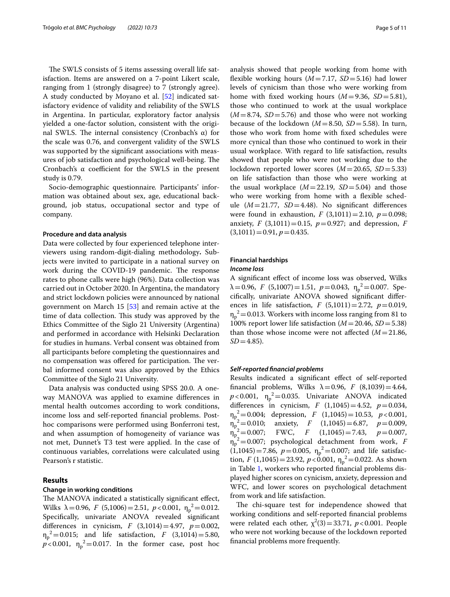The SWLS consists of 5 items assessing overall life satisfaction. Items are answered on a 7-point Likert scale, ranging from 1 (strongly disagree) to 7 (strongly agree). A study conducted by Moyano et al. [[52\]](#page-9-23) indicated satisfactory evidence of validity and reliability of the SWLS in Argentina. In particular, exploratory factor analysis yielded a one-factor solution, consistent with the original SWLS. The internal consistency (Cronbach's α) for the scale was 0.76, and convergent validity of the SWLS was supported by the signifcant associations with measures of job satisfaction and psychological well-being. The Cronbach's  $\alpha$  coefficient for the SWLS in the present study is 0.79.

Socio-demographic questionnaire*.* Participants' information was obtained about sex, age, educational background, job status, occupational sector and type of company.

#### **Procedure and data analysis**

Data were collected by four experienced telephone interviewers using random-digit-dialing methodology**.** Subjects were invited to participate in a national survey on work during the COVID-19 pandemic. The response rates to phone calls were high (96%). Data collection was carried out in October 2020. In Argentina, the mandatory and strict lockdown policies were announced by national government on March 15 [\[53\]](#page-9-24) and remain active at the time of data collection. This study was approved by the Ethics Committee of the Siglo 21 University (Argentina) and performed in accordance with Helsinki Declaration for studies in humans. Verbal consent was obtained from all participants before completing the questionnaires and no compensation was offered for participation. The verbal informed consent was also approved by the Ethics Committee of the Siglo 21 University.

Data analysis was conducted using SPSS 20.0. A oneway MANOVA was applied to examine diferences in mental health outcomes according to work conditions, income loss and self-reported fnancial problems. Posthoc comparisons were performed using Bonferroni test, and when assumption of homogeneity of variance was not met, Dunnet's T3 test were applied. In the case of continuous variables, correlations were calculated using Pearson's r statistic.

# **Results**

## **Change in working conditions**

The MANOVA indicated a statistically significant effect, Wilks  $\lambda = 0.96$ , *F* (5,1006) = 2.51, *p* < 0.001,  $\eta_p^2 = 0.012$ . Specifcally, univariate ANOVA revealed signifcant differences in cynicism, *F* (3,1014)=4.97,  $p = 0.002$ ,  $\eta_p^2 = 0.015$ ; and life satisfaction, *F* (3,1014) = 5.80,  $p < 0.001$ ,  $\eta_p^2 = 0.017$ . In the former case, post hoc analysis showed that people working from home with flexible working hours  $(M=7.17, SD=5.16)$  had lower levels of cynicism than those who were working from home with fxed working hours (*M*=9.36, *SD*=5.81), those who continued to work at the usual workplace  $(M=8.74, SD=5.76)$  and those who were not working because of the lockdown (*M*=8.50, *SD*=5.58). In turn, those who work from home with fxed schedules were more cynical than those who continued to work in their usual workplace. With regard to life satisfaction, results showed that people who were not working due to the lockdown reported lower scores (*M*=20.65, *SD*=5.33) on life satisfaction than those who were working at the usual workplace  $(M=22.19, SD=5.04)$  and those who were working from home with a flexible schedule (*M*=21.77, *SD*=4.48). No signifcant diferences were found in exhaustion, *F*  $(3,1011)=2.10$ ,  $p=0.098$ ; anxiety, *F* (3,1011)=0.15,  $p=0.927$ ; and depression, *F*  $(3,1011)=0.91, p=0.435.$ 

## **Financial hardships** *Income loss*

A signifcant efect of income loss was observed, Wilks  $\lambda = 0.96, F (5,1007) = 1.51, p = 0.043, \eta_p^2 = 0.007.$  Specifcally, univariate ANOVA showed signifcant diferences in life satisfaction, *F*  $(5,1011)=2.72$ ,  $p=0.019$ ,  $\eta_p^2$  = 0.013. Workers with income loss ranging from 81 to 100% report lower life satisfaction (*M*=20.46, *SD*=5.38) than those whose income were not affected  $(M=21.86,$  $SD = 4.85$ ).

## *Self‑reported fnancial problems*

Results indicated a signifcant efect of self-reported financial problems, Wilks  $\lambda = 0.96$ , *F* (8,1039) = 4.64,  $p < 0.001$ ,  $\eta_p^2 = 0.035$ . Univariate ANOVA indicated differences in cynicism, *F*  $(1,1045) = 4.52$ ,  $p = 0.034$ ,  $\eta_{p_2}^2 = 0.004$ ; depression, *F* (1,1045) = 10.53, *p* < 0.001,  $\eta_p$  $Z^2 = 0.010$ ; anxiety, *F* (1,1045) = 6.87, *p* = 0.009,<br> $Z^2 = 0.007$ ; FWC, *F* (1,1045) = 7.43, *p* = 0.007,  $\eta_p$  $\frac{2}{p} = 0.007$ ; FWC, *F*  $(1,1045) = 7.43$ ,  $p = 0.007$ , ηp <sup>2</sup>=0.007; psychological detachment from work, *F*  $(1,1045) = 7.86$ ,  $p = 0.005$ ,  $\eta_p^2 = 0.007$ ; and life satisfaction, *F* (1,1045) = 23.92, *p* < 0.001,  $\eta_p^2$  = 0.022. As shown in Table [1](#page-5-0), workers who reported fnancial problems displayed higher scores on cynicism, anxiety, depression and WFC, and lower scores on psychological detachment from work and life satisfaction.

The chi-square test for independence showed that working conditions and self-reported fnancial problems were related each other,  $\chi^2(3) = 33.71$ ,  $p < 0.001$ . People who were not working because of the lockdown reported fnancial problems more frequently.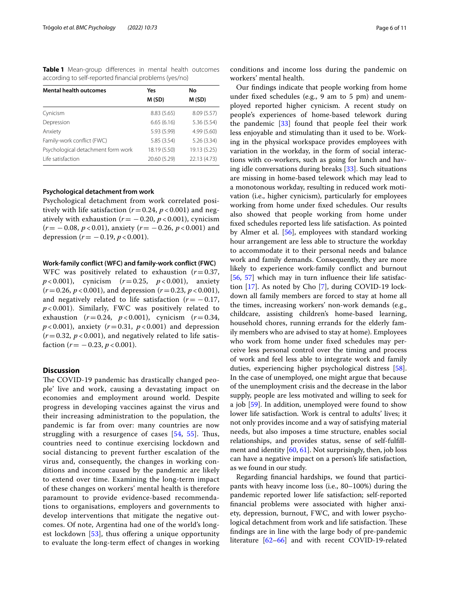<span id="page-5-0"></span>**Table 1** Mean-group differences in mental health outcomes according to self-reported fnancial problems (yes/no)

| <b>Mental health outcomes</b>      | Yes          | No           |
|------------------------------------|--------------|--------------|
|                                    | M(SD)        | M (SD)       |
| Cynicism                           | 8.83(5.65)   | 8.09 (5.57)  |
| Depression                         | 6.65(6.16)   | 5.36(5.54)   |
| Anxiety                            | 5.93 (5.99)  | 4.99(5.60)   |
| Family-work conflict (FWC)         | 5.85(3.54)   | 5.26(3.34)   |
| Psychological detachment form work | 18.19 (5.50) | 19.13 (5.25) |
| Life satisfaction                  | 20.60 (5.29) | 22.13 (4.73) |

#### **Psychological detachment from work**

Psychological detachment from work correlated positively with life satisfaction ( $r = 0.24$ ,  $p < 0.001$ ) and negatively with exhaustion  $(r = -0.20, p < 0.001)$ , cynicism (*r*= −0.08, *p* < 0.01), anxiety (*r*= −0.26, *p* < 0.001) and depression  $(r = -0.19, p < 0.001)$ .

## **Work‑family confict (WFC) and family‑work confict (FWC)**

WFC was positively related to exhaustion  $(r=0.37,$ *p* < 0.001), cynicism (*r*=0.25, *p* < 0.001), anxiety  $(r=0.26, p<0.001)$ , and depression  $(r=0.23, p<0.001)$ , and negatively related to life satisfaction  $(r = -0.17)$ , *p* < 0.001). Similarly, FWC was positively related to exhaustion  $(r=0.24, p<0.001)$ , cynicism  $(r=0.34,$  $p < 0.001$ ), anxiety ( $r = 0.31$ ,  $p < 0.001$ ) and depression  $(r=0.32, p<0.001)$ , and negatively related to life satisfaction  $(r = -0.23, p < 0.001)$ .

# **Discussion**

The COVID-19 pandemic has drastically changed people' live and work, causing a devastating impact on economies and employment around world. Despite progress in developing vaccines against the virus and their increasing administration to the population, the pandemic is far from over: many countries are now struggling with a resurgence of cases  $[54, 55]$  $[54, 55]$  $[54, 55]$  $[54, 55]$  $[54, 55]$ . Thus, countries need to continue exercising lockdown and social distancing to prevent further escalation of the virus and, consequently, the changes in working conditions and income caused by the pandemic are likely to extend over time. Examining the long-term impact of these changes on workers' mental health is therefore paramount to provide evidence-based recommendations to organisations, employers and governments to develop interventions that mitigate the negative outcomes. Of note, Argentina had one of the world's longest lockdown  $[53]$  $[53]$ , thus offering a unique opportunity to evaluate the long-term efect of changes in working

conditions and income loss during the pandemic on workers' mental health.

Our fndings indicate that people working from home under fxed schedules (e.g., 9 am to 5 pm) and unemployed reported higher cynicism. A recent study on people's experiences of home-based telework during the pandemic [[33\]](#page-9-5) found that people feel their work less enjoyable and stimulating than it used to be. Working in the physical workspace provides employees with variation in the workday, in the form of social interactions with co-workers, such as going for lunch and having idle conversations during breaks [\[33](#page-9-5)]. Such situations are missing in home-based telework which may lead to a monotonous workday, resulting in reduced work motivation (i.e., higher cynicism), particularly for employees working from home under fxed schedules. Our results also showed that people working from home under fxed schedules reported less life satisfaction. As pointed by Almer et al. [[56](#page-9-27)], employees with standard working hour arrangement are less able to structure the workday to accommodate it to their personal needs and balance work and family demands. Consequently, they are more likely to experience work-family confict and burnout [[56,](#page-9-27) [57\]](#page-9-28) which may in turn influence their life satisfaction [[17\]](#page-8-16). As noted by Cho [[7\]](#page-8-6), during COVID-19 lockdown all family members are forced to stay at home all the times, increasing workers' non-work demands (e.g., childcare, assisting children's home-based learning, household chores, running errands for the elderly family members who are advised to stay at home). Employees who work from home under fxed schedules may perceive less personal control over the timing and process of work and feel less able to integrate work and family duties, experiencing higher psychological distress [\[58](#page-9-29)]. In the case of unemployed, one might argue that because of the unemployment crisis and the decrease in the labor supply, people are less motivated and willing to seek for a job [[59\]](#page-9-30). In addition, unemployed were found to show lower life satisfaction. Work is central to adults' lives; it not only provides income and a way of satisfying material needs, but also imposes a time structure, enables social relationships, and provides status, sense of self-fulfll-ment and identity [[60](#page-9-31), [61\]](#page-9-32). Not surprisingly, then, job loss can have a negative impact on a person's life satisfaction, as we found in our study.

Regarding fnancial hardships, we found that participants with heavy income loss (i.e., 80–100%) during the pandemic reported lower life satisfaction; self-reported fnancial problems were associated with higher anxiety, depression, burnout, FWC, and with lower psychological detachment from work and life satisfaction. These fndings are in line with the large body of pre-pandemic literature [\[62–](#page-9-33)[66\]](#page-9-34) and with recent COVID-19-related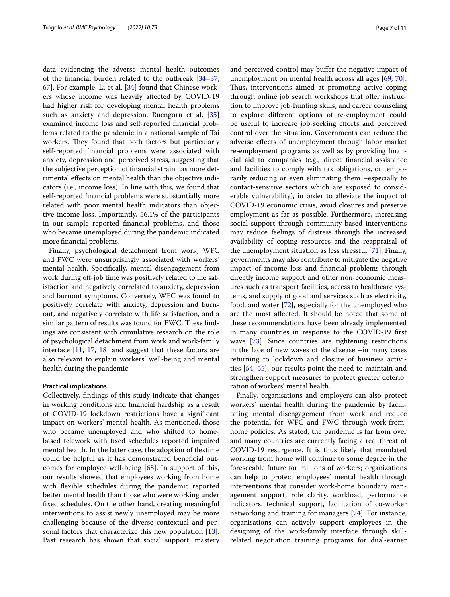data evidencing the adverse mental health outcomes of the fnancial burden related to the outbreak [[34](#page-9-6)[–37](#page-9-9), [67\]](#page-9-35). For example, Li et al. [\[34](#page-9-6)] found that Chinese workers whose income was heavily afected by COVID-19 had higher risk for developing mental health problems such as anxiety and depression. Ruengorn et al. [[35](#page-9-7)] examined income loss and self-reported fnancial problems related to the pandemic in a national sample of Tai workers. They found that both factors but particularly self-reported fnancial problems were associated with anxiety, depression and perceived stress, suggesting that the subjective perception of fnancial strain has more detrimental efects on mental health than the objective indicators (i.e., income loss). In line with this, we found that self-reported fnancial problems were substantially more related with poor mental health indicators than objective income loss. Importantly, 56.1% of the participants in our sample reported fnancial problems, and those who became unemployed during the pandemic indicated more fnancial problems.

Finally, psychological detachment from work, WFC and FWC were unsurprisingly associated with workers' mental health. Specifcally, mental disengagement from work during off-job time was positively related to life satisfaction and negatively correlated to anxiety, depression and burnout symptoms. Conversely, WFC was found to positively correlate with anxiety, depression and burnout, and negatively correlate with life satisfaction, and a similar pattern of results was found for FWC. These findings are consistent with cumulative research on the role of psychological detachment from work and work-family interface [\[11](#page-8-10), [17](#page-8-16), [18](#page-8-17)] and suggest that these factors are also relevant to explain workers' well-being and mental health during the pandemic.

## **Practical implications**

Collectively, fndings of this study indicate that changes in working conditions and fnancial hardship as a result of COVID-19 lockdown restrictions have a signifcant impact on workers' mental health. As mentioned, those who became unemployed and who shifted to homebased telework with fxed schedules reported impaired mental health. In the latter case, the adoption of fextime could be helpful as it has demonstrated benefcial outcomes for employee well-being [\[68\]](#page-10-0). In support of this, our results showed that employees working from home with flexible schedules during the pandemic reported better mental health than those who were working under fxed schedules. On the other hand, creating meaningful interventions to assist newly unemployed may be more challenging because of the diverse contextual and personal factors that characterize this new population [\[13](#page-8-12)]. Past research has shown that social support, mastery and perceived control may bufer the negative impact of unemployment on mental health across all ages [\[69](#page-10-1), [70](#page-10-2)]. Thus, interventions aimed at promoting active coping through online job search workshops that offer instruction to improve job-hunting skills, and career counseling to explore diferent options of re-employment could be useful to increase job-seeking efforts and perceived control over the situation. Governments can reduce the adverse efects of unemployment through labor market re-employment programs as well as by providing fnancial aid to companies (e.g., direct fnancial assistance and facilities to comply with tax obligations, or temporarily reducing or even eliminating them –especially to contact-sensitive sectors which are exposed to considerable vulnerability), in order to alleviate the impact of COVID-19 economic crisis, avoid closures and preserve employment as far as possible. Furthermore, increasing social support through community-based interventions may reduce feelings of distress through the increased availability of coping resources and the reappraisal of the unemployment situation as less stressful [[71\]](#page-10-3). Finally, governments may also contribute to mitigate the negative impact of income loss and fnancial problems through directly income support and other non-economic measures such as transport facilities, access to healthcare systems, and supply of good and services such as electricity, food, and water [[72\]](#page-10-4), especially for the unemployed who are the most afected. It should be noted that some of these recommendations have been already implemented in many countries in response to the COVID-19 frst wave [[73\]](#page-10-5). Since countries are tightening restrictions in the face of new waves of the disease –in many cases returning to lockdown and closure of business activities [\[54](#page-9-25), [55\]](#page-9-26), our results point the need to maintain and strengthen support measures to protect greater deterioration of workers' mental health.

Finally, organisations and employers can also protect workers' mental health during the pandemic by facilitating mental disengagement from work and reduce the potential for WFC and FWC through work-fromhome policies. As stated, the pandemic is far from over and many countries are currently facing a real threat of COVID-19 resurgence. It is thus likely that mandated working from home will continue to some degree in the foreseeable future for millions of workers; organizations can help to protect employees' mental health through interventions that consider work-home boundary management support, role clarity, workload, performance indicators, technical support, facilitation of co-worker networking and training for managers [[74](#page-10-6)]. For instance, organisations can actively support employees in the designing of the work-family interface through skillrelated negotiation training programs for dual-earner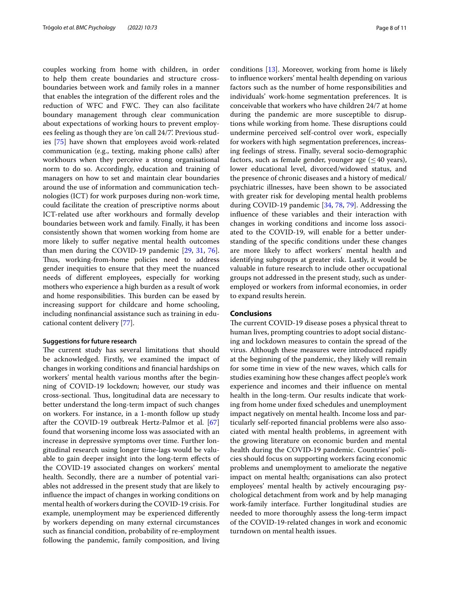couples working from home with children, in order to help them create boundaries and structure crossboundaries between work and family roles in a manner that enables the integration of the diferent roles and the reduction of WFC and FWC. They can also facilitate boundary management through clear communication about expectations of working hours to prevent employees feeling as though they are 'on call 24/7'. Previous studies [[75\]](#page-10-7) have shown that employees avoid work-related communication (e.g., texting, making phone calls) after workhours when they perceive a strong organisational norm to do so. Accordingly, education and training of managers on how to set and maintain clear boundaries around the use of information and communication technologies (ICT) for work purposes during non-work time, could facilitate the creation of prescriptive norms about ICT-related use after workhours and formally develop boundaries between work and family. Finally, it has been consistently shown that women working from home are more likely to suffer negative mental health outcomes than men during the COVID-19 pandemic [[29,](#page-9-1) [31](#page-9-3), [76](#page-10-8)]. Thus, working-from-home policies need to address gender inequities to ensure that they meet the nuanced needs of diferent employees, especially for working mothers who experience a high burden as a result of work and home responsibilities. This burden can be eased by increasing support for childcare and home schooling, including nonfnancial assistance such as training in educational content delivery [[77\]](#page-10-9).

### **Suggestions for future research**

The current study has several limitations that should be acknowledged. Firstly, we examined the impact of changes in working conditions and fnancial hardships on workers' mental health various months after the beginning of COVID-19 lockdown; however, our study was cross-sectional. Thus, longitudinal data are necessary to better understand the long-term impact of such changes on workers. For instance, in a 1-month follow up study after the COVID-19 outbreak Hertz-Palmor et al. [[67](#page-9-35)] found that worsening income loss was associated with an increase in depressive symptoms over time. Further longitudinal research using longer time-lags would be valuable to gain deeper insight into the long-term efects of the COVID-19 associated changes on workers' mental health. Secondly, there are a number of potential variables not addressed in the present study that are likely to infuence the impact of changes in working conditions on mental health of workers during the COVID-19 crisis. For example, unemployment may be experienced diferently by workers depending on many external circumstances such as fnancial condition, probability of re-employment following the pandemic, family composition, and living conditions [[13\]](#page-8-12). Moreover, working from home is likely to infuence workers' mental health depending on various factors such as the number of home responsibilities and individuals' work-home segmentation preferences. It is conceivable that workers who have children 24/7 at home during the pandemic are more susceptible to disruptions while working from home. These disruptions could undermine perceived self-control over work, especially for workers with high segmentation preferences, increasing feelings of stress. Finally, several socio-demographic factors, such as female gender, younger age  $(\leq 40$  years), lower educational level, divorced/widowed status, and the presence of chronic diseases and a history of medical/ psychiatric illnesses, have been shown to be associated with greater risk for developing mental health problems during COVID-19 pandemic [\[34,](#page-9-6) [78,](#page-10-10) [79\]](#page-10-11). Addressing the infuence of these variables and their interaction with changes in working conditions and income loss associated to the COVID-19, will enable for a better understanding of the specifc conditions under these changes are more likely to afect workers' mental health and identifying subgroups at greater risk. Lastly, it would be valuable in future research to include other occupational groups not addressed in the present study, such as underemployed or workers from informal economies, in order to expand results herein.

### **Conclusions**

The current COVID-19 disease poses a physical threat to human lives, prompting countries to adopt social distancing and lockdown measures to contain the spread of the virus. Although these measures were introduced rapidly at the beginning of the pandemic, they likely will remain for some time in view of the new waves, which calls for studies examining how these changes afect people's work experience and incomes and their infuence on mental health in the long-term. Our results indicate that working from home under fxed schedules and unemployment impact negatively on mental health. Income loss and particularly self-reported fnancial problems were also associated with mental health problems, in agreement with the growing literature on economic burden and mental health during the COVID‐19 pandemic. Countries' policies should focus on supporting workers facing economic problems and unemployment to ameliorate the negative impact on mental health; organisations can also protect employees' mental health by actively encouraging psychological detachment from work and by help managing work-family interface. Further longitudinal studies are needed to more thoroughly assess the long-term impact of the COVID-19-related changes in work and economic turndown on mental health issues.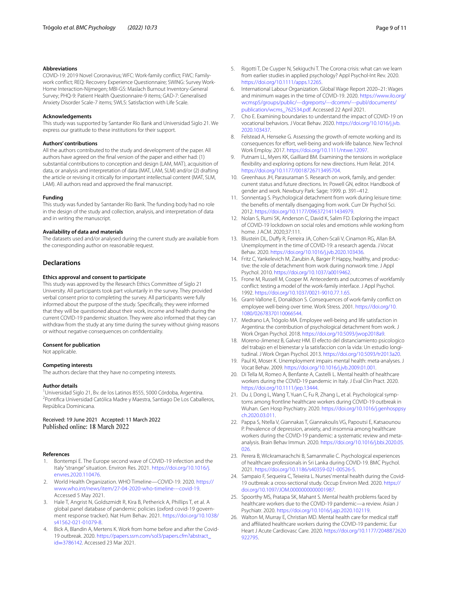### **Abbreviations**

COVID-19: 2019 Novel Coronavirus; WFC: Work-family confict; FWC: Familywork confict; REQ: Recovery Experience Questionnaire; SWING: Survey Work-Home Interaction-Nijmegen; MBI-GS: Maslach Burnout Inventory-General Survey; PHQ-9: Patient Health Questionnaire-9 items; GAD-7: Generalised Anxiety Disorder Scale-7 items; SWLS: Satisfaction with Life Scale.

#### **Acknowledgements**

This study was supported by Santander Río Bank and Universidad Siglo 21. We express our gratitude to these institutions for their support.

#### **Authors' contributions**

All the authors contributed to the study and development of the paper. All authors have agreed on the fnal version of the paper and either had: (1) substantial contributions to conception and design (LAM, MAT), acquisition of data, or analysis and interpretation of data (MAT, LAM, SLM) and/or (2) drafting the article or revising it critically for important intellectual content (MAT, SLM, LAM). All authors read and approved the fnal manuscript.

#### **Funding**

This study was funded by Santander Río Bank. The funding body had no role in the design of the study and collection, analysis, and interpretation of data and in writing the manuscript.

## **Availability of data and materials**

The datasets used and/or analysed during the current study are available from the corresponding author on reasonable request.

## **Declarations**

#### **Ethics approval and consent to participate**

This study was approved by the Research Ethics Committee of Siglo 21 University. All participants took part voluntarily in the survey. They provided verbal consent prior to completing the survey. All participants were fully informed about the purpose of the study. Specifcally, they were informed that they will be questioned about their work, income and health during the current COVID-19 pandemic situation. They were also informed that they can withdraw from the study at any time during the survey without giving reasons or without negative consequences on confdentiality.

#### **Consent for publication**

Not applicable.

#### **Competing interests**

The authors declare that they have no competing interests.

#### **Author details**

<sup>1</sup> Universidad Siglo 21, Bv. de los Latinos 8555, 5000 Córdoba, Argentina. <sup>1</sup>Universidad Siglo 21, Bv. de los Latinos 8555, 5000 Córdoba, Argentina.<br><sup>2</sup>Pontifica Universidad Católica Madre y Maestra, Santiago De Los Caballeros, República Dominicana.

Received: 19 June 2021 Accepted: 11 March 2022<br>Published online: 18 March 2022

#### **References**

- <span id="page-8-0"></span>1. Bontempi E. The Europe second wave of COVID-19 infection and the Italy "strange" situation. Environ Res. 2021. [https://doi.org/10.1016/j.](https://doi.org/10.1016/j.envres.2020.110476) [envres.2020.110476](https://doi.org/10.1016/j.envres.2020.110476).
- <span id="page-8-1"></span>2. World Health Organization. WHO Timeline—COVID-19. 2020. [https://](https://www.who.int/news/item/27-04-2020-who-timeline---covid-19) [www.who.int/news/item/27-04-2020-who-timeline---covid-19](https://www.who.int/news/item/27-04-2020-who-timeline---covid-19). Accessed 5 May 2021.
- <span id="page-8-2"></span>3. Hale T, Angrist N, Goldszmidt R, Kira B, Petherick A, Phillips T, et al. A global panel database of pandemic policies (oxford covid-19 government response tracker). Nat Hum Behav. 2021. [https://doi.org/10.1038/](https://doi.org/10.1038/s41562-021-01079-8) [s41562-021-01079-8](https://doi.org/10.1038/s41562-021-01079-8).
- <span id="page-8-3"></span>4. Bick A, Blandin A, Mertens K. Work from home before and after the Covid-19 outbreak. 2020. [https://papers.ssrn.com/sol3/papers.cfm?abstract\\_](https://papers.ssrn.com/sol3/papers.cfm?abstract_id=3786142) id=[3786142.](https://papers.ssrn.com/sol3/papers.cfm?abstract_id=3786142) Accessed 23 Mar 2021.
- <span id="page-8-4"></span>5. Rigotti T, De Cuyper N, Sekiguchi T. The Corona crisis: what can we learn from earlier studies in applied psychology? Appl Psychol-Int Rev. 2020. [https://doi.org/10.1111/apps.12265.](https://doi.org/10.1111/apps.12265)
- <span id="page-8-5"></span>6. International Labour Organization. Global Wage Report 2020–21: Wages and minimum wages in the time of COVID-19. 2020. [https://www.ilo.org/](https://www.ilo.org/wcmsp5/groups/public/---dgreports/---dcomm/---publ/documents/publication/wcms_762534.pdf) [wcmsp5/groups/public/---dgreports/---dcomm/---publ/documents/](https://www.ilo.org/wcmsp5/groups/public/---dgreports/---dcomm/---publ/documents/publication/wcms_762534.pdf) [publication/wcms\\_762534.pdf](https://www.ilo.org/wcmsp5/groups/public/---dgreports/---dcomm/---publ/documents/publication/wcms_762534.pdf). Accessed 22 April 2021.
- <span id="page-8-6"></span>7. Cho E. Examining boundaries to understand the impact of COVID-19 on vocational behaviors. J Vocat Behav. 2020. [https://doi.org/10.1016/j.jvb.](https://doi.org/10.1016/j.jvb.2020.103437) [2020.103437.](https://doi.org/10.1016/j.jvb.2020.103437)
- <span id="page-8-7"></span>8. Felstead A, Henseke G. Assessing the growth of remote working and its consequences for effort, well-being and work-life balance. New Technol Work Employ. 2017. <https://doi.org/10.1111/ntwe.12097>.
- <span id="page-8-8"></span>Putnam LL, Myers KK, Gailliard BM. Examining the tensions in workplace fexibility and exploring options for new directions. Hum Relat. 2014. <https://doi.org/10.1177/0018726713495704>.
- <span id="page-8-9"></span>10. Greenhaus JH, Parasuraman S. Research on work, family, and gender: current status and future directions. In: Powell GN, editor. Handbook of gender and work. Newbury Park: Sage; 1999. p. 391–412.
- <span id="page-8-10"></span>11. Sonnentag S. Psychological detachment from work during leisure time: the benefts of mentally disengaging from work. Curr Dir Psychol Sci. 2012. [https://doi.org/10.1177/0963721411434979.](https://doi.org/10.1177/0963721411434979)
- <span id="page-8-11"></span>12. Nolan S, Rumi SK, Anderson C, David K, Salim FD. Exploring the impact of COVID-19 lockdown on social roles and emotions while working from home. J ACM. 2020;37:111.
- <span id="page-8-12"></span>13. Blustein DL, Dufy R, Ferreira JA, Cohen-Scali V, Cinamon RG, Allan BA. Unemployment in the time of COVID-19: a research agenda. J Vocat Behav. 2020.<https://doi.org/10.1016/j.jvb.2020.103436>.
- <span id="page-8-13"></span>14. Fritz C, Yankelevich M, Zarubin A, Barger P. Happy, healthy, and productive: the role of detachment from work during nonwork time. J Appl Psychol. 2010. [https://doi.org/10.1037/a0019462.](https://doi.org/10.1037/a0019462)
- 15. Frone M, Russell M, Cooper M. Antecedents and outcomes of workfamily confict: testing a model of the work-family interface. J Appl Psychol. 1992. [https://doi.org/10.1037/0021-9010.77.1.65.](https://doi.org/10.1037/0021-9010.77.1.65)
- 16. Grant-Vallone E, Donaldson S. Consequences of work-family confict on employee well-being over time. Work Stress. 2001. [https://doi.org/10.](https://doi.org/10.1080/02678370110066544) [1080/02678370110066544](https://doi.org/10.1080/02678370110066544).
- <span id="page-8-16"></span>17. Medrano LA, Trógolo MA. Employee well-being and life satisfaction in Argentina: the contribution of psychological detachment from work. J Work Organ Psychol. 2018. [https://doi.org/10.5093/jwop2018a9.](https://doi.org/10.5093/jwop2018a9)
- <span id="page-8-17"></span>18. Moreno-Jimenez B, Galvez HM. El efecto del distanciamiento psicologico del trabajo en el bienestar y la satisfaccion con la vida: Un estudio longitudinal. J Work Organ Psychol. 2013. [https://doi.org/10.5093/tr2013a20.](https://doi.org/10.5093/tr2013a20)
- <span id="page-8-14"></span>19. Paul KI, Moser K. Unemployment impairs mental health: meta-analyses. J Vocat Behav. 2009. <https://doi.org/10.1016/j.jvb.2009.01.001>.
- <span id="page-8-15"></span>20. Di Tella M, Romeo A, Benfante A, Castelli L. Mental health of healthcare workers during the COVID-19 pandemic in Italy. J Eval Clin Pract. 2020. <https://doi.org/10.1111/jep.13444>.
- 21. Du J, Dong L, Wang T, Yuan C, Fu R, Zhang L, et al. Psychological symptoms among frontline healthcare workers during COVID-19 outbreak in Wuhan. Gen Hosp Psychiatry. 2020. [https://doi.org/10.1016/j.genhosppsy](https://doi.org/10.1016/j.genhosppsych.2020.03.011) [ch.2020.03.011.](https://doi.org/10.1016/j.genhosppsych.2020.03.011)
- 22. Pappa S, Ntella V, Giannakas T, Giannakoulis VG, Papoutsi E, Katsaounou P. Prevalence of depression, anxiety, and insomnia among healthcare workers during the COVID-19 pandemic: a systematic review and metaanalysis. Brain Behav Immun. 2020. [https://doi.org/10.1016/j.bbi.2020.05.](https://doi.org/10.1016/j.bbi.2020.05.026) [026.](https://doi.org/10.1016/j.bbi.2020.05.026)
- 23. Perera B, Wickramarachchi B, Samanmalie C. Psychological experiences of healthcare professionals in Sri Lanka during COVID-19. BMC Psychol. 2021. [https://doi.org/10.1186/s40359-021-00526-5.](https://doi.org/10.1186/s40359-021-00526-5)
- 24. Sampaio F, Sequeira C, Teixeira L. Nurses' mental health during the Covid-19 outbreak: a cross-sectional study. Occup Environ Med. 2020. [https://](https://doi.org/10.1097/JOM.0000000000001987) [doi.org/10.1097/JOM.0000000000001987.](https://doi.org/10.1097/JOM.0000000000001987)
- 25. Spoorthy MS, Pratapa SK, Mahant S. Mental health problems faced by healthcare workers due to the COVID-19 pandemic—a review. Asian J Psychiatr. 2020.<https://doi.org/10.1016/j.ajp.2020.102119>.
- 26. Walton M, Murray E, Christian MD. Mental health care for medical staff and affiliated healthcare workers during the COVID-19 pandemic. Eur Heart J Acute Cardiovasc Care. 2020. [https://doi.org/10.1177/2048872620](https://doi.org/10.1177/2048872620922795) [922795.](https://doi.org/10.1177/2048872620922795)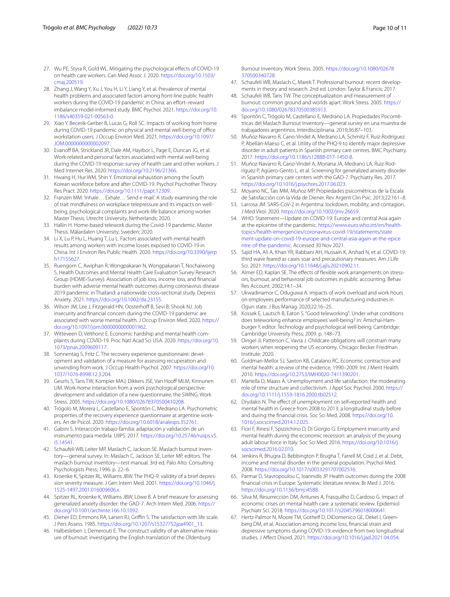- 27. Wu PE, Styra R, Gold WL. Mitigating the psychological effects of COVID-19 on health care workers. Can Med Assoc J. 2020. [https://doi.org/10.1503/](https://doi.org/10.1503/cmaj.200519) [cmaj.200519](https://doi.org/10.1503/cmaj.200519).
- <span id="page-9-0"></span>28. Zhang J, Wang Y, Xu J, You H, Li Y, Liang Y, et al. Prevalence of mental health problems and associated factors among front-line public health workers during the COVID-19 pandemic in China: an effort-reward imbalance model-informed study. BMC Psychol. 2021. [https://doi.org/10.](https://doi.org/10.1186/s40359-021-00563-0) [1186/s40359-021-00563-0.](https://doi.org/10.1186/s40359-021-00563-0)
- <span id="page-9-1"></span>29. Xiao Y, Becerik-Gerber B, Lucas G, Roll SC. Impacts of working from home during COVID-19 pandemic on physical and mental well-being of office workstation users. J Occup Environ Med. 2021. [https://doi.org/10.1097/](https://doi.org/10.1097/JOM.0000000000002097) [JOM.0000000000002097](https://doi.org/10.1097/JOM.0000000000002097).
- <span id="page-9-2"></span>30. Evanoff BA, Strickland JR, Dale AM, Hayibor L, Page E, Duncan JG, et al. Work-related and personal factors associated with mental well-being during the COVID-19 response: survey of health care and other workers. J Med Internet Res. 2020.<https://doi.org/10.2196/21366>.
- <span id="page-9-3"></span>31. Hwang H, Hur WM, Shin Y. Emotional exhaustion among the South Korean workforce before and after COVID-19. Psychol Psychother Theory Res Pract. 2020. [https://doi.org/10.1111/papt.12309.](https://doi.org/10.1111/papt.12309)
- <span id="page-9-4"></span>32. Franzen MM. 'Inhale… Exhale… Send e-mail'. A study examining the role of trait mindfulness on workplace telepressure and its impacts on wellbeing, psychological complaints and work-life balance among worker. Master Thesis. Utrecht University, Netherlands; 2020.
- <span id="page-9-5"></span>33. Hallin H. Home-based telework during the Covid-19 pandemic. Master Thesis. Mälardalen University, Sweden; 2020.
- <span id="page-9-6"></span>34. Li X, Lu P, Hu L, Huang T, Lu L. Factors associated with mental health results among workers with income losses exposed to COVID-19 in China. Int J Environ Res Public Health. 2020. [https://doi.org/10.3390/ijerp](https://doi.org/10.3390/ijerph17155627) [h17155627.](https://doi.org/10.3390/ijerph17155627)
- <span id="page-9-7"></span>35. Ruengorn C, Awiphan R, Wongpakaran N, Wongpakaran T, Nochaiwong S, Health Outcomes and Mental Health Care Evaluation Survey Research Group (HOME‐Survey). Association of job loss, income loss, and fnancial burden with adverse mental health outcomes during coronavirus disease 2019 pandemic in Thailand: a nationwide cross-sectional study. Depress Anxiety. 2021. <https://doi.org/10.1002/da.23155>.
- <span id="page-9-8"></span>36. Wilson JM, Lee J, Fitzgerald HN, Oosterhoff B, Sevi B, Shook NJ. Job insecurity and fnancial concern during the COVID-19 pandemic are associated with worse mental health. J Occup Environ Med. 2020. [https://](https://doi.org/10.1097/jom.0000000000001962) [doi.org/10.1097/jom.0000000000001962.](https://doi.org/10.1097/jom.0000000000001962)
- <span id="page-9-9"></span>37. Witteveen D, Velthorst E. Economic hardship and mental health complaints during COVID-19. Proc Natl Acad Sci USA. 2020. [https://doi.org/10.](https://doi.org/10.1073/pnas.2009609117) [1073/pnas.2009609117](https://doi.org/10.1073/pnas.2009609117).
- <span id="page-9-10"></span>38. Sonnentag S, Fritz C. The recovery experience questionnaire: development and validation of a measure for assessing recuperation and unwinding from work. J Occup Health Psychol. 2007. [https://doi.org/10.](https://doi.org/10.1037/1076-8998.12.3.204) [1037/1076-8998.12.3.204](https://doi.org/10.1037/1076-8998.12.3.204).
- <span id="page-9-11"></span>39. Geurts S, Taris TW, Kompier MAJ, Dikkers JSE, Van Hooff MLM, Kinnunen UM. Work-home interaction from a work psychological perspective: development and validation of a new questionnaire, the SWING. Work Stress. 2005.<https://doi.org/10.1080/02678370500410208>.
- <span id="page-9-12"></span>40. Trógolo M, Morera L, Castellano E, Spontón C, Medrano LA. Psychometric properties of the recovery experience questionnaire at argentine workers. An de Psicol. 2020. [https://doi.org/10.6018/analesps.352761.](https://doi.org/10.6018/analesps.352761)
- <span id="page-9-13"></span>41. Gabini S. Interacción trabajo-familia: adaptación y validación de un instrumento para medirla. UIIPS. 2017. [https://doi.org/10.25746/ruiips.v5.](https://doi.org/10.25746/ruiips.v5.i5.14541) [i5.14541.](https://doi.org/10.25746/ruiips.v5.i5.14541)
- <span id="page-9-14"></span>42. Schaufeli WB, Leiter MP, Maslach C, Jackson SE. Maslach burnout inventory—general survey. In: Maslach C, Jackson SE, Leiter MP, editors. The maslach burnout inventory—test manual. 3rd ed. Palo Alto: Consulting Psychologists Press; 1996. p. 22–6.
- <span id="page-9-15"></span>43. Kroenke K, Spitzer RL, Williams JBW. The PHQ-9: validity of a brief depression severity measure. J Gen Intern Med. 2001. [https://doi.org/10.1046/j.](https://doi.org/10.1046/j.1525-1497.2001.016009606.x) [1525-1497.2001.016009606.x.](https://doi.org/10.1046/j.1525-1497.2001.016009606.x)
- <span id="page-9-16"></span>44. Spitzer RL, Kroenke K, Williams JBW, Löwe B. A brief measure for assessing generalized anxiety disorder: the GAD-7. Arch Intern Med. 2006. [https://](https://doi.org/10.1001/archinte.166.10.1092) [doi.org/10.1001/archinte.166.10.1092.](https://doi.org/10.1001/archinte.166.10.1092)
- <span id="page-9-17"></span>45. Diener ED, Emmons RA, Larsen RJ, Griffin S. The satisfaction with life scale. J Pers Assess. 1985. [https://doi.org/10.1207/s15327752jpa4901\\_13](https://doi.org/10.1207/s15327752jpa4901_13).
- <span id="page-9-18"></span>46. Halbesleben J, Demerouti E. The construct validity of an alternative measure of burnout: investigating the English translation of the Oldenburg

Burnout Inventory. Work Stress. 2005. [https://doi.org/10.1080/02678](https://doi.org/10.1080/02678370500340728) [370500340728.](https://doi.org/10.1080/02678370500340728)

- 47. Schaufeli WB, Maslach C, Marek T. Professional burnout: recent developments in theory and research. 2nd ed. London: Taylor & Francis; 2017.
- <span id="page-9-19"></span>48. Schaufeli WB, Taris TW. The conceptualization and measurement of burnout: common ground and worlds apart. Work Stress. 2005. [https://](https://doi.org/10.1080/02678370500385913) [doi.org/10.1080/02678370500385913.](https://doi.org/10.1080/02678370500385913)
- <span id="page-9-20"></span>49. Spontón C, Trógolo M, Castellano E, Medrano LA. Propiedades Psicométricas del Maslach Burnout Inventory—general survey en una muestra de trabajadores argentinos. Interdisciplinaria. 2019;36:87–103.
- <span id="page-9-21"></span>50. Muñoz-Navarro R, Cano-Vindel A, Medrano LA, Schmitz F, Ruiz-Rodríguez P, Abellán-Maeso C, et al. Utility of the PHQ-9 to identify major depressive disorder in adult patients in Spanish primary care centres. BMC Psychiatry. 2017.<https://doi.org/10.1186/s12888-017-1450-8>.
- <span id="page-9-22"></span>51. Muñoz-Navarro R, Cano-Vindel A, Moriana JA, Medrano LA, Ruiz-Rodríguez P, Agüero-Gento L, et al. Screening for generalized anxiety disorder in Spanish primary care centers with the GAD-7. Psychiatry Res. 2017. <https://doi.org/10.1016/j.psychres.2017.06.023>.
- <span id="page-9-23"></span>52. Moyano NC, Tais MM, Muñoz MP. Propiedades psicométricas de la Escala de Satisfacción con la Vida de Diener. Rev Argent Clin Psic. 2013;22:161–8.
- <span id="page-9-24"></span>53. Larrosa JM. SARS-CoV-2 in Argentina: lockdown, mobility, and contagion. J Med Virol. 2020. [https://doi.org/10.1002/jmv.26659.](https://doi.org/10.1002/jmv.26659)
- <span id="page-9-25"></span>54. WHO. Statement—Update on COVID-19: Europe and central Asia again at the epicentre of the pandemic. [https://www.euro.who.int/en/health](https://www.euro.who.int/en/health-topics/health-emergencies/coronavirus-covid-19/statements/statement-update-on-covid-19-europe-and-central-asia-again-at-the-epicentre-of-the-pandemic)[topics/health-emergencies/coronavirus-covid-19/statements/state](https://www.euro.who.int/en/health-topics/health-emergencies/coronavirus-covid-19/statements/statement-update-on-covid-19-europe-and-central-asia-again-at-the-epicentre-of-the-pandemic) [ment-update-on-covid-19-europe-and-central-asia-again-at-the-epice](https://www.euro.who.int/en/health-topics/health-emergencies/coronavirus-covid-19/statements/statement-update-on-covid-19-europe-and-central-asia-again-at-the-epicentre-of-the-pandemic) [ntre-of-the-pandemic](https://www.euro.who.int/en/health-topics/health-emergencies/coronavirus-covid-19/statements/statement-update-on-covid-19-europe-and-central-asia-again-at-the-epicentre-of-the-pandemic). Accessed 30 Nov 2021.
- <span id="page-9-26"></span>55. Sajid HA, Ali A, Khan YR, Rabbani AH, Hussain K, Arshad N, et al. COVID-19: third wave feared as cases soar and precautionary measures. Am J Life Sci. 2021. [https://doi.org/10.11648/j.ajls.20210902.11.](https://doi.org/10.11648/j.ajls.20210902.11)
- <span id="page-9-27"></span>56. Almer ED, Kaplan SE. The effects of flexible work arrangements on stressors, burnout, and behavioral job outcomes in public accounting. Behav Res Account. 2002;14:1–34.
- <span id="page-9-28"></span>57. Ukwadinamor C, Oduguwa A. impacts of work overload and work hours on employees performance of selected manufacturing industries in Ogun state. J Bus Manag. 2020;22:16–25.
- <span id="page-9-29"></span>58. Kossek E, Lautsch B, Eaton S. "Good teleworking": Under what conditions does teleworking enhance employees' well-being? In: Amichai-Hamburger Y, editor. Technology and psychological well-being. Cambridge: Cambridge University Press; 2009. p. 148–73.
- <span id="page-9-30"></span>59. Dingel JI, Patterson C, Vavra J. Childcare obligations will constrain many workers when reopening the US economy. Chicago: Becker Friedman Institute; 2020.
- <span id="page-9-31"></span>60. Goldman-Mellor SJ, Saxton KB, Catalano RC. Economic contraction and mental health: a review of the evidence, 1990–2009. Int J Ment Health. 2010. [https://doi.org/10.2753/IMH0020-7411390201.](https://doi.org/10.2753/IMH0020-7411390201)
- <span id="page-9-32"></span>61. Martella D, Maass A. Unemployment and life satisfaction: the moderating role of time structure and collectivism. J Appl Soc Psychol. 2000. [https://](https://doi.org/10.1111/j.1559-1816.2000.tb02512) [doi.org/10.1111/j.1559-1816.2000.tb02512.](https://doi.org/10.1111/j.1559-1816.2000.tb02512)
- <span id="page-9-33"></span>62. Drydakis N. The effect of unemployment on self-reported health and mental health in Greece from 2008 to 2013: a longitudinal study before and during the fnancial crisis. Soc Sci Med. 2008. [https://doi.org/10.](https://doi.org/10.1016/j.socscimed.2014.12.025) [1016/j.socscimed.2014.12.025](https://doi.org/10.1016/j.socscimed.2014.12.025).
- 63. Fiori F, Rinesi F, Spizzichino D, Di Giorgio G. Employment insecurity and mental health during the economic recession: an analysis of the young adult labour force in Italy. Soc Sci Med. 2016. [https://doi.org/10.1016/j.](https://doi.org/10.1016/j.socscimed.2016.02.010) [socscimed.2016.02.010](https://doi.org/10.1016/j.socscimed.2016.02.010).
- 64. Jenkins R, Bhugra D, Bebbington P, Brugha T, Farrell M, Coid J, et al. Debt, income and mental disorder in the general population. Psychol Med. 2008. [https://doi.org/10.1017/s0033291707002516.](https://doi.org/10.1017/s0033291707002516)
- 65. Parmar D, Stavropoulou C, Ioannidis JP. Health outcomes during the 2008 fnancial crisis in Europe: Systematic literature review. Br Med J. 2016. [https://doi.org/10.1136/bmj.i4588.](https://doi.org/10.1136/bmj.i4588)
- <span id="page-9-34"></span>66. Silva M, Resurrección DM, Antunes A, Frasquilho D, Cardoso G. Impact of economic crises on mental health care: a systematic review. Epidemiol Psychiatr Sci. 2018. <https://doi.org/10.1017/s2045796018000641>.
- <span id="page-9-35"></span>67. Hertz-Palmor N, Moore TM, Gothelf D, DiDomenico GE, Dekel I, Greenberg DM, et al. Association among income loss, fnancial strain and depressive symptoms during COVID-19: evidence from two longitudinal studies. J Afect Disord. 2021. [https://doi.org/10.1016/j.jad.2021.04.054.](https://doi.org/10.1016/j.jad.2021.04.054)